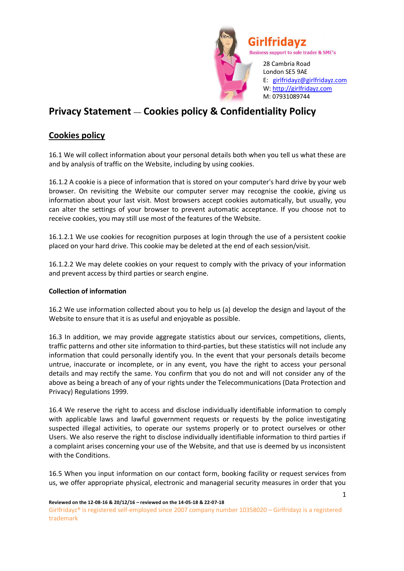

# **Privacy Statement** — **Cookies policy & Confidentiality Policy**

## **Cookies policy**

16.1 We will collect information about your personal details both when you tell us what these are and by analysis of traffic on the Website, including by using cookies.

16.1.2 A cookie is a piece of information that is stored on your computer's hard drive by your web browser. On revisiting the Website our computer server may recognise the cookie, giving us information about your last visit. Most browsers accept cookies automatically, but usually, you can alter the settings of your browser to prevent automatic acceptance. If you choose not to receive cookies, you may still use most of the features of the Website.

16.1.2.1 We use cookies for recognition purposes at login through the use of a persistent cookie placed on your hard drive. This cookie may be deleted at the end of each session/visit.

16.1.2.2 We may delete cookies on your request to comply with the privacy of your information and prevent access by third parties or search engine.

#### **Collection of information**

16.2 We use information collected about you to help us (a) develop the design and layout of the Website to ensure that it is as useful and enjoyable as possible.

16.3 In addition, we may provide aggregate statistics about our services, competitions, clients, traffic patterns and other site information to third-parties, but these statistics will not include any information that could personally identify you. In the event that your personals details become untrue, inaccurate or incomplete, or in any event, you have the right to access your personal details and may rectify the same. You confirm that you do not and will not consider any of the above as being a breach of any of your rights under the Telecommunications (Data Protection and Privacy) Regulations 1999.

16.4 We reserve the right to access and disclose individually identifiable information to comply with applicable laws and lawful government requests or requests by the police investigating suspected illegal activities, to operate our systems properly or to protect ourselves or other Users. We also reserve the right to disclose individually identifiable information to third parties if a complaint arises concerning your use of the Website, and that use is deemed by us inconsistent with the Conditions.

16.5 When you input information on our contact form, booking facility or request services from us, we offer appropriate physical, electronic and managerial security measures in order that you

1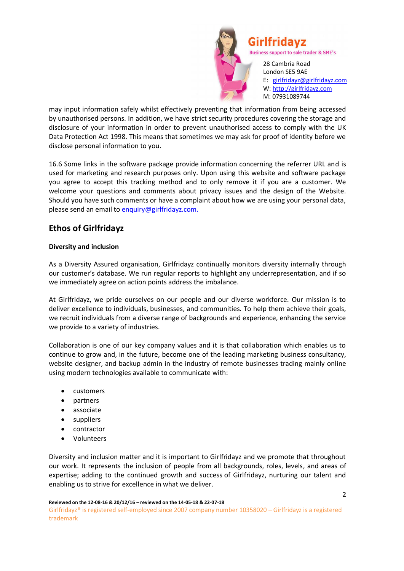

may input information safely whilst effectively preventing that information from being accessed by unauthorised persons. In addition, we have strict security procedures covering the storage and disclosure of your information in order to prevent unauthorised access to comply with the UK Data Protection Act 1998. This means that sometimes we may ask for proof of identity before we disclose personal information to you.

16.6 Some links in the software package provide information concerning the referrer URL and is used for marketing and research purposes only. Upon using this website and software package you agree to accept this tracking method and to only remove it if you are a customer. We welcome your questions and comments about privacy issues and the design of the Website. Should you have such comments or have a complaint about how we are using your personal data, please send an email to enquiry@girlfridayz.com.

## **Ethos of Girlfridayz**

## **Diversity and inclusion**

As a Diversity Assured organisation, Girlfridayz continually monitors diversity internally through our customer's database. We run regular reports to highlight any underrepresentation, and if so we immediately agree on action points address the imbalance.

At Girlfridayz, we pride ourselves on our people and our diverse workforce. Our mission is to deliver excellence to individuals, businesses, and communities. To help them achieve their goals, we recruit individuals from a diverse range of backgrounds and experience, enhancing the service we provide to a variety of industries.

Collaboration is one of our key company values and it is that collaboration which enables us to continue to grow and, in the future, become one of the leading marketing business consultancy, website designer, and backup admin in the industry of remote businesses trading mainly online using modern technologies available to communicate with:

- customers
- partners
- associate
- suppliers
- contractor
- Volunteers

Diversity and inclusion matter and it is important to Girlfridayz and we promote that throughout our work. It represents the inclusion of people from all backgrounds, roles, levels, and areas of expertise; adding to the continued growth and success of Girlfridayz, nurturing our talent and enabling us to strive for excellence in what we deliver.

Girlfridayz® is registered self-employed since 2007 company number 10358020 – Girlfridayz is a registered trademark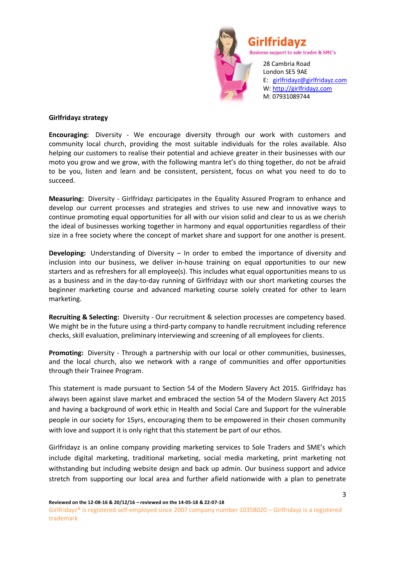

#### **Girlfridayz strategy**

**Encouraging:** Diversity - We encourage diversity through our work with customers and community local church, providing the most suitable individuals for the roles available. Also helping our customers to realise their potential and achieve greater in their businesses with our moto you grow and we grow, with the following mantra let's do thing together, do not be afraid to be you, listen and learn and be consistent, persistent, focus on what you need to do to succeed.

**Measuring:** Diversity - Girlfridayz participates in the Equality Assured Program to enhance and develop our current processes and strategies and strives to use new and innovative ways to continue promoting equal opportunities for all with our vision solid and clear to us as we cherish the ideal of businesses working together in harmony and equal opportunities regardless of their size in a free society where the concept of market share and support for one another is present.

**Developing:** Understanding of Diversity – In order to embed the importance of diversity and inclusion into our business, we deliver in-house training on equal opportunities to our new starters and as refreshers for all employee(s). This includes what equal opportunities means to us as a business and in the day-to-day running of Girlfridayz with our short marketing courses the beginner marketing course and advanced marketing course solely created for other to learn marketing.

**Recruiting & Selecting:** Diversity - Our recruitment & selection processes are competency based. We might be in the future using a third-party company to handle recruitment including reference checks, skill evaluation, preliminary interviewing and screening of all employees for clients.

**Promoting:** Diversity - Through a partnership with our local or other communities, businesses, and the local church, also we network with a range of communities and offer opportunities through their Trainee Program.

This statement is made pursuant to Section 54 of the Modern Slavery Act 2015. Girlfridayz has always been against slave market and embraced the section 54 of the Modern Slavery Act 2015 and having a background of work ethic in Health and Social Care and Support for the vulnerable people in our society for 15yrs, encouraging them to be empowered in their chosen community with love and support it is only right that this statement be part of our ethos.

Girlfridayz is an online company providing marketing services to Sole Traders and SME's which include digital marketing, traditional marketing, social media marketing, print marketing not withstanding but including website design and back up admin. Our business support and advice stretch from supporting our local area and further afield nationwide with a plan to penetrate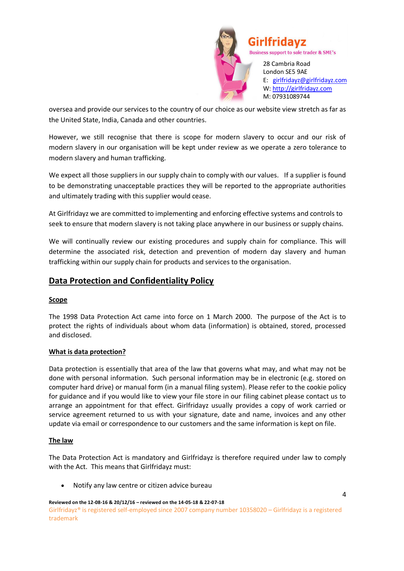

oversea and provide our services to the country of our choice as our website view stretch as far as the United State, India, Canada and other countries.

However, we still recognise that there is scope for modern slavery to occur and our risk of modern slavery in our organisation will be kept under review as we operate a zero tolerance to modern slavery and human trafficking.

We expect all those suppliers in our supply chain to comply with our values. If a supplier is found to be demonstrating unacceptable practices they will be reported to the appropriate authorities and ultimately trading with this supplier would cease.

At Girlfridayz we are committed to implementing and enforcing effective systems and controls to seek to ensure that modern slavery is not taking place anywhere in our business or supply chains.

We will continually review our existing procedures and supply chain for compliance. This will determine the associated risk, detection and prevention of modern day slavery and human trafficking within our supply chain for products and services to the organisation.

## **Data Protection and Confidentiality Policy**

## **Scope**

The 1998 Data Protection Act came into force on 1 March 2000. The purpose of the Act is to protect the rights of individuals about whom data (information) is obtained, stored, processed and disclosed.

#### **What is data protection?**

Data protection is essentially that area of the law that governs what may, and what may not be done with personal information. Such personal information may be in electronic (e.g. stored on computer hard drive) or manual form (in a manual filing system). Please refer to the cookie policy for guidance and if you would like to view your file store in our filing cabinet please contact us to arrange an appointment for that effect. Girlfridayz usually provides a copy of work carried or service agreement returned to us with your signature, date and name, invoices and any other update via email or correspondence to our customers and the same information is kept on file.

#### **The law**

The Data Protection Act is mandatory and Girlfridayz is therefore required under law to comply with the Act. This means that Girlfridayz must:

Notify any law centre or citizen advice bureau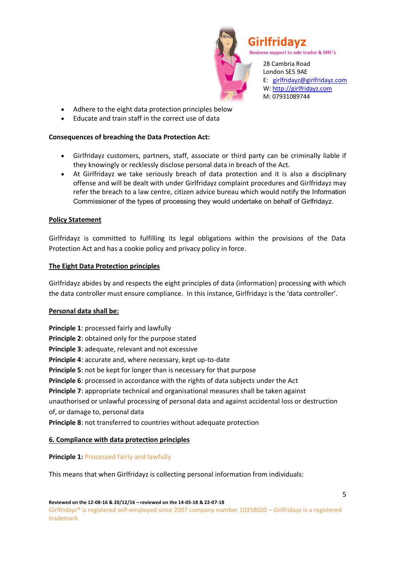

- Adhere to the eight data protection principles below
- Educate and train staff in the correct use of data

### **Consequences of breaching the Data Protection Act:**

- Girlfridayz customers, partners, staff, associate or third party can be criminally liable if they knowingly or recklessly disclose personal data in breach of the Act.
- At Girlfridayz we take seriously breach of data protection and it is also a disciplinary offense and will be dealt with under Girlfridayz complaint procedures and Girlfridayz may refer the breach to a law centre, citizen advice bureau which would notify the Information Commissioner of the types of processing they would undertake on behalf of Girlfridayz.

### **Policy Statement**

Girlfridayz is committed to fulfilling its legal obligations within the provisions of the Data Protection Act and has a cookie policy and privacy policy in force.

### **The Eight Data Protection principles**

Girlfridayz abides by and respects the eight principles of data (information) processing with which the data controller must ensure compliance. In this instance, Girlfridayz is the 'data controller'.

#### **Personal data shall be:**

**Principle 1**: processed fairly and lawfully **Principle 2**: obtained only for the purpose stated **Principle 3**: adequate, relevant and not excessive **Principle 4**: accurate and, where necessary, kept up-to-date **Principle 5**: not be kept for longer than is necessary for that purpose **Principle 6**: processed in accordance with the rights of data subjects under the Act **Principle 7**: appropriate technical and organisational measures shall be taken against unauthorised or unlawful processing of personal data and against accidental loss or destruction of, or damage to, personal data **Principle 8**: not transferred to countries without adequate protection

## **6. Compliance with data protection principles**

**Principle 1:** Processed fairly and lawfully

This means that when Girlfridayz is collecting personal information from individuals: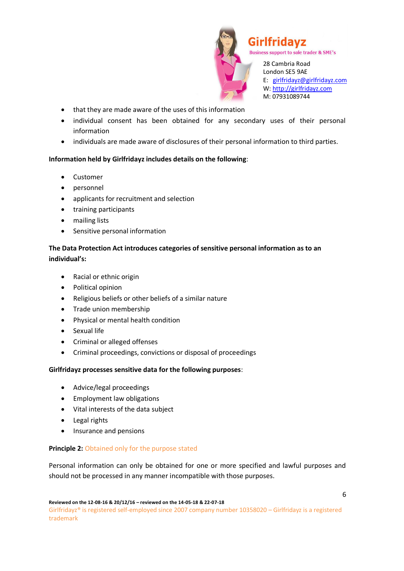

28 Cambria Road London SE5 9AE E: girlfridayz@girlfridayz.com W: http://girlfridayz.com M: 07931089744

- that they are made aware of the uses of this information
- individual consent has been obtained for any secondary uses of their personal information
- individuals are made aware of disclosures of their personal information to third parties.

## **Information held by Girlfridayz includes details on the following**:

- Customer
- personnel
- applicants for recruitment and selection
- training participants
- mailing lists
- Sensitive personal information

## **The Data Protection Act introduces categories of sensitive personal information as to an individual's:**

- Racial or ethnic origin
- Political opinion
- Religious beliefs or other beliefs of a similar nature
- Trade union membership
- Physical or mental health condition
- Sexual life
- Criminal or alleged offenses
- Criminal proceedings, convictions or disposal of proceedings

## **Girlfridayz processes sensitive data for the following purposes**:

- Advice/legal proceedings
- Employment law obligations
- Vital interests of the data subject
- Legal rights
- Insurance and pensions

## **Principle 2:** Obtained only for the purpose stated

Personal information can only be obtained for one or more specified and lawful purposes and should not be processed in any manner incompatible with those purposes.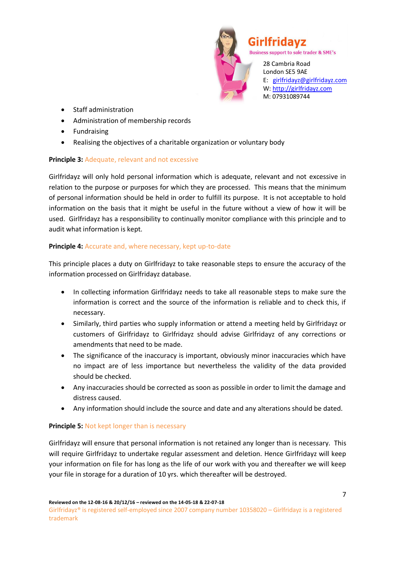

- Staff administration
- Administration of membership records
- Fundraising
- Realising the objectives of a charitable organization or voluntary body

### **Principle 3:** Adequate, relevant and not excessive

Girlfridayz will only hold personal information which is adequate, relevant and not excessive in relation to the purpose or purposes for which they are processed. This means that the minimum of personal information should be held in order to fulfill its purpose. It is not acceptable to hold information on the basis that it might be useful in the future without a view of how it will be used. Girlfridayz has a responsibility to continually monitor compliance with this principle and to audit what information is kept.

## **Principle 4:** Accurate and, where necessary, kept up-to-date

This principle places a duty on Girlfridayz to take reasonable steps to ensure the accuracy of the information processed on Girlfridayz database.

- In collecting information Girlfridayz needs to take all reasonable steps to make sure the information is correct and the source of the information is reliable and to check this, if necessary.
- Similarly, third parties who supply information or attend a meeting held by Girlfridayz or customers of Girlfridayz to Girlfridayz should advise Girlfridayz of any corrections or amendments that need to be made.
- The significance of the inaccuracy is important, obviously minor inaccuracies which have no impact are of less importance but nevertheless the validity of the data provided should be checked.
- Any inaccuracies should be corrected as soon as possible in order to limit the damage and distress caused.
- Any information should include the source and date and any alterations should be dated.

## **Principle 5:** Not kept longer than is necessary

Girlfridayz will ensure that personal information is not retained any longer than is necessary. This will require Girlfridayz to undertake regular assessment and deletion. Hence Girlfridayz will keep your information on file for has long as the life of our work with you and thereafter we will keep your file in storage for a duration of 10 yrs. which thereafter will be destroyed.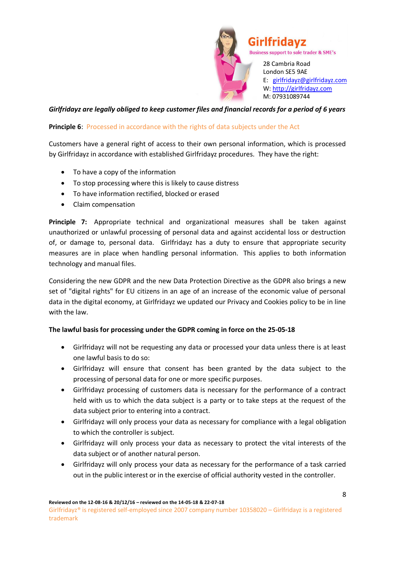

## *Girlfridayz are legally obliged to keep customer files and financial records for a period of 6 years*

#### **Principle 6:** Processed in accordance with the rights of data subjects under the Act

Customers have a general right of access to their own personal information, which is processed by Girlfridayz in accordance with established Girlfridayz procedures. They have the right:

- To have a copy of the information
- To stop processing where this is likely to cause distress
- To have information rectified, blocked or erased
- Claim compensation

**Principle 7:** Appropriate technical and organizational measures shall be taken against unauthorized or unlawful processing of personal data and against accidental loss or destruction of, or damage to, personal data. Girlfridayz has a duty to ensure that appropriate security measures are in place when handling personal information. This applies to both information technology and manual files.

Considering the new GDPR and the new Data Protection Directive as the GDPR also brings a new set of "digital rights" for EU citizens in an age of an increase of the economic value of personal data in the digital economy, at Girlfridayz we updated our Privacy and Cookies policy to be in line with the law.

#### **The lawful basis for processing under the GDPR coming in force on the 25-05-18**

- Girlfridayz will not be requesting any data or processed your data unless there is at least one lawful basis to do so:
- Girlfridayz will ensure that consent has been granted by the data subject to the processing of personal data for one or more specific purposes.
- Girlfridayz processing of customers data is necessary for the performance of a contract held with us to which the data subject is a party or to take steps at the request of the data subject prior to entering into a contract.
- Girlfridayz will only process your data as necessary for compliance with a legal obligation to which the controller is subject.
- Girlfridayz will only process your data as necessary to protect the vital interests of the data subject or of another natural person.
- Girlfridayz will only process your data as necessary for the performance of a task carried out in the public interest or in the exercise of official authority vested in the controller.

**Reviewed on the 12-08-16 & 20/12/16 – reviewed on the 14-05-18 & 22-07-18**

Girlfridayz® is registered self-employed since 2007 company number 10358020 – Girlfridayz is a registered trademark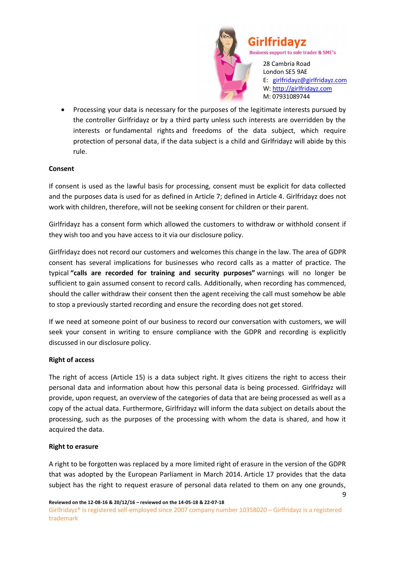

 Processing your data is necessary for the purposes of the legitimate interests pursued by the controller Girlfridayz or by a third party unless such interests are overridden by the interests or fundamental rights and freedoms of the data subject, which require protection of personal data, if the data subject is a child and Girlfridayz will abide by this rule.

#### **Consent**

If consent is used as the lawful basis for processing, consent must be explicit for data collected and the purposes data is used for as defined in Article 7; defined in Article 4. Girlfridayz does not work with children, therefore, will not be seeking consent for children or their parent.

Girlfridayz has a consent form which allowed the customers to withdraw or withhold consent if they wish too and you have access to it via our disclosure policy.

Girlfridayz does not record our customers and welcomes this change in the law. The area of GDPR consent has several implications for businesses who record calls as a matter of practice. The typical **"calls are recorded for training and security purposes"** warnings will no longer be sufficient to gain assumed consent to record calls. Additionally, when recording has commenced, should the caller withdraw their consent then the agent receiving the call must somehow be able to stop a previously started recording and ensure the recording does not get stored.

If we need at someone point of our business to record our conversation with customers, we will seek your consent in writing to ensure compliance with the GDPR and recording is explicitly discussed in our disclosure policy.

#### **Right of access**

The right of access (Article 15) is a data subject right. It gives citizens the right to access their personal data and information about how this personal data is being processed. Girlfridayz will provide, upon request, an overview of the categories of data that are being processed as well as a copy of the actual data. Furthermore, Girlfridayz will inform the data subject on details about the processing, such as the purposes of the processing with whom the data is shared, and how it acquired the data.

#### **Right to erasure**

A right to be forgotten was replaced by a more limited right of erasure in the version of the GDPR that was adopted by the European Parliament in March 2014. Article 17 provides that the data subject has the right to request erasure of personal data related to them on any one grounds,

9

Girlfridayz® is registered self-employed since 2007 company number 10358020 – Girlfridayz is a registered trademark